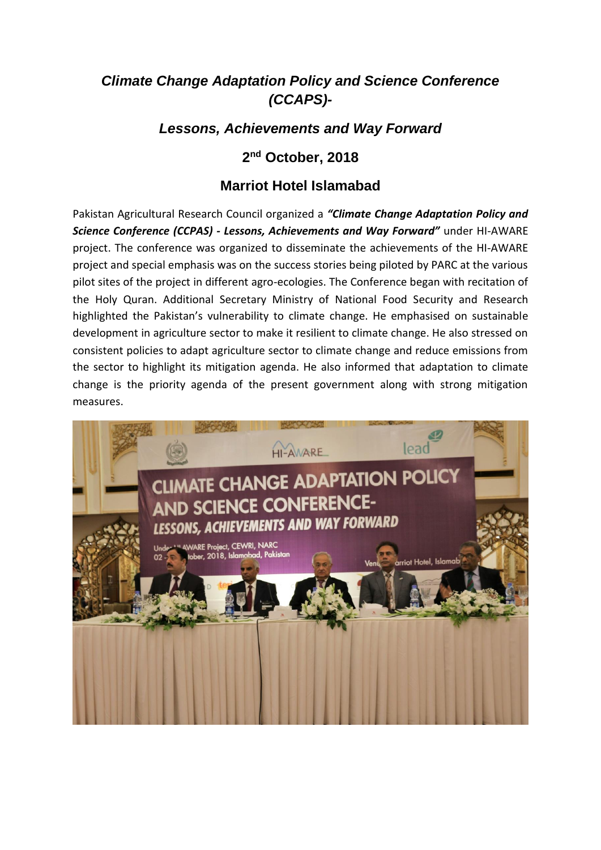## *Climate Change Adaptation Policy and Science Conference (CCAPS)-*

## *Lessons, Achievements and Way Forward*

## **2 nd October, 2018**

## **Marriot Hotel Islamabad**

Pakistan Agricultural Research Council organized a *"Climate Change Adaptation Policy and Science Conference (CCPAS) - Lessons, Achievements and Way Forward"* under HI-AWARE project. The conference was organized to disseminate the achievements of the HI-AWARE project and special emphasis was on the success stories being piloted by PARC at the various pilot sites of the project in different agro-ecologies. The Conference began with recitation of the Holy Quran. Additional Secretary Ministry of National Food Security and Research highlighted the Pakistan's vulnerability to climate change. He emphasised on sustainable development in agriculture sector to make it resilient to climate change. He also stressed on consistent policies to adapt agriculture sector to climate change and reduce emissions from the sector to highlight its mitigation agenda. He also informed that adaptation to climate change is the priority agenda of the present government along with strong mitigation measures.

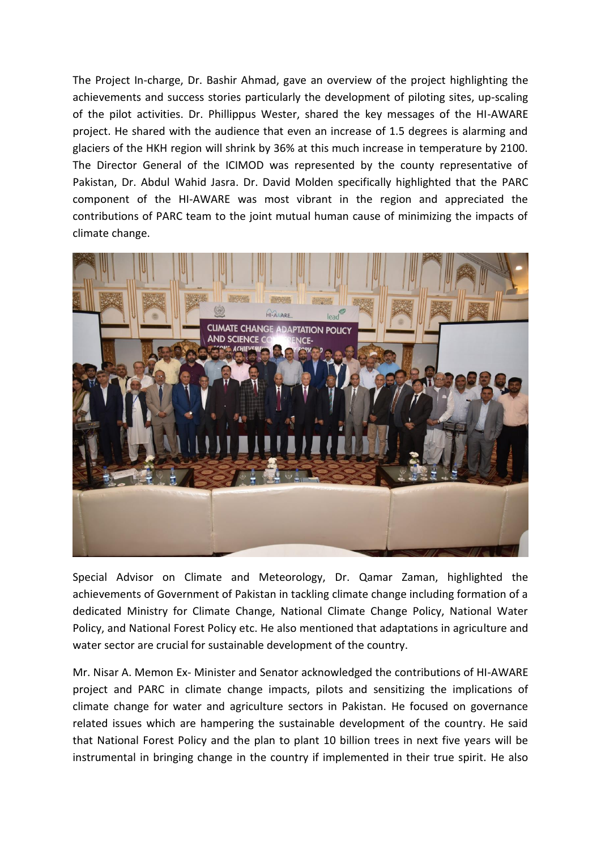The Project In-charge, Dr. Bashir Ahmad, gave an overview of the project highlighting the achievements and success stories particularly the development of piloting sites, up-scaling of the pilot activities. Dr. Phillippus Wester, shared the key messages of the HI-AWARE project. He shared with the audience that even an increase of 1.5 degrees is alarming and glaciers of the HKH region will shrink by 36% at this much increase in temperature by 2100. The Director General of the ICIMOD was represented by the county representative of Pakistan, Dr. Abdul Wahid Jasra. Dr. David Molden specifically highlighted that the PARC component of the HI-AWARE was most vibrant in the region and appreciated the contributions of PARC team to the joint mutual human cause of minimizing the impacts of climate change.



Special Advisor on Climate and Meteorology, Dr. Qamar Zaman, highlighted the achievements of Government of Pakistan in tackling climate change including formation of a dedicated Ministry for Climate Change, National Climate Change Policy, National Water Policy, and National Forest Policy etc. He also mentioned that adaptations in agriculture and water sector are crucial for sustainable development of the country.

Mr. Nisar A. Memon Ex- Minister and Senator acknowledged the contributions of HI-AWARE project and PARC in climate change impacts, pilots and sensitizing the implications of climate change for water and agriculture sectors in Pakistan. He focused on governance related issues which are hampering the sustainable development of the country. He said that National Forest Policy and the plan to plant 10 billion trees in next five years will be instrumental in bringing change in the country if implemented in their true spirit. He also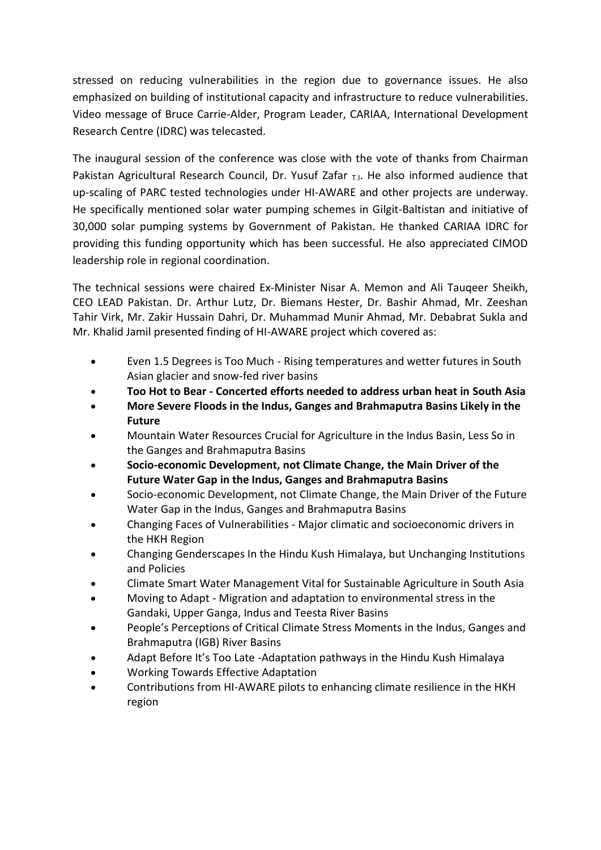stressed on reducing vulnerabilities in the region due to governance issues. He also emphasized on building of institutional capacity and infrastructure to reduce vulnerabilities. Video message of Bruce Carrie-Alder, Program Leader, CARIAA, International Development Research Centre (IDRC) was telecasted.

The inaugural session of the conference was close with the vote of thanks from Chairman Pakistan Agricultural Research Council, Dr. Yusuf Zafar  $T_{\text{L}}$ . He also informed audience that up-scaling of PARC tested technologies under HI-AWARE and other projects are underway. He specifically mentioned solar water pumping schemes in Gilgit-Baltistan and initiative of 30,000 solar pumping systems by Government of Pakistan. He thanked CARIAA IDRC for providing this funding opportunity which has been successful. He also appreciated CIMOD leadership role in regional coordination.

The technical sessions were chaired Ex-Minister Nisar A. Memon and Ali Tauqeer Sheikh, CEO LEAD Pakistan. Dr. Arthur Lutz, Dr. Biemans Hester, Dr. Bashir Ahmad, Mr. Zeeshan Tahir Virk, Mr. Zakir Hussain Dahri, Dr. Muhammad Munir Ahmad, Mr. Debabrat Sukla and Mr. Khalid Jamil presented finding of HI-AWARE project which covered as:

- Even 1.5 Degrees is Too Much Rising temperatures and wetter futures in South Asian glacier and snow-fed river basins
- **Too Hot to Bear - Concerted efforts needed to address urban heat in South Asia**
- **More Severe Floods in the Indus, Ganges and Brahmaputra Basins Likely in the Future**
- Mountain Water Resources Crucial for Agriculture in the Indus Basin, Less So in the Ganges and Brahmaputra Basins
- **Socio-economic Development, not Climate Change, the Main Driver of the Future Water Gap in the Indus, Ganges and Brahmaputra Basins**
- Socio-economic Development, not Climate Change, the Main Driver of the Future Water Gap in the Indus, Ganges and Brahmaputra Basins
- Changing Faces of Vulnerabilities Major climatic and socioeconomic drivers in the HKH Region
- Changing Genderscapes In the Hindu Kush Himalaya, but Unchanging Institutions and Policies
- Climate Smart Water Management Vital for Sustainable Agriculture in South Asia
- Moving to Adapt Migration and adaptation to environmental stress in the Gandaki, Upper Ganga, Indus and Teesta River Basins
- People's Perceptions of Critical Climate Stress Moments in the Indus, Ganges and Brahmaputra (IGB) River Basins
- Adapt Before It's Too Late -Adaptation pathways in the Hindu Kush Himalaya
- Working Towards Effective Adaptation
- Contributions from HI-AWARE pilots to enhancing climate resilience in the HKH region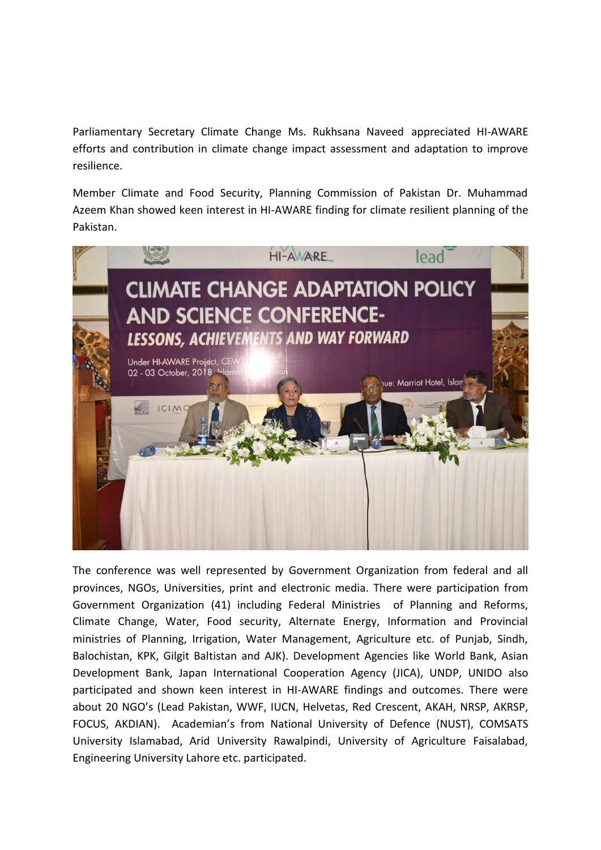Parliamentary Secretary Climate Change Ms. Rukhsana Naveed appreciated HI-AWARE efforts and contribution in climate change impact assessment and adaptation to improve resilience.

Member Climate and Food Security, Planning Commission of Pakistan Dr. Muhammad Azeem Khan showed keen interest in HI-AWARE finding for climate resilient planning of the Pakistan.



The conference was well represented by Government Organization from federal and all provinces, NGOs, Universities, print and electronic media. There were participation from Government Organization (41) including Federal Ministries of Planning and Reforms, Climate Change, Water, Food security, Alternate Energy, Information and Provincial ministries of Planning, Irrigation, Water Management, Agriculture etc. of Punjab, Sindh, Balochistan, KPK, Gilgit Baltistan and AJK). Development Agencies like World Bank, Asian Development Bank, Japan International Cooperation Agency (JICA), UNDP, UNIDO also participated and shown keen interest in HI-AWARE findings and outcomes. There were about 20 NGO's (Lead Pakistan, WWF, IUCN, Helvetas, Red Crescent, AKAH, NRSP, AKRSP, FOCUS, AKDIAN). Academian's from National University of Defence (NUST), COMSATS University Islamabad, Arid University Rawalpindi, University of Agriculture Faisalabad, Engineering University Lahore etc. participated.